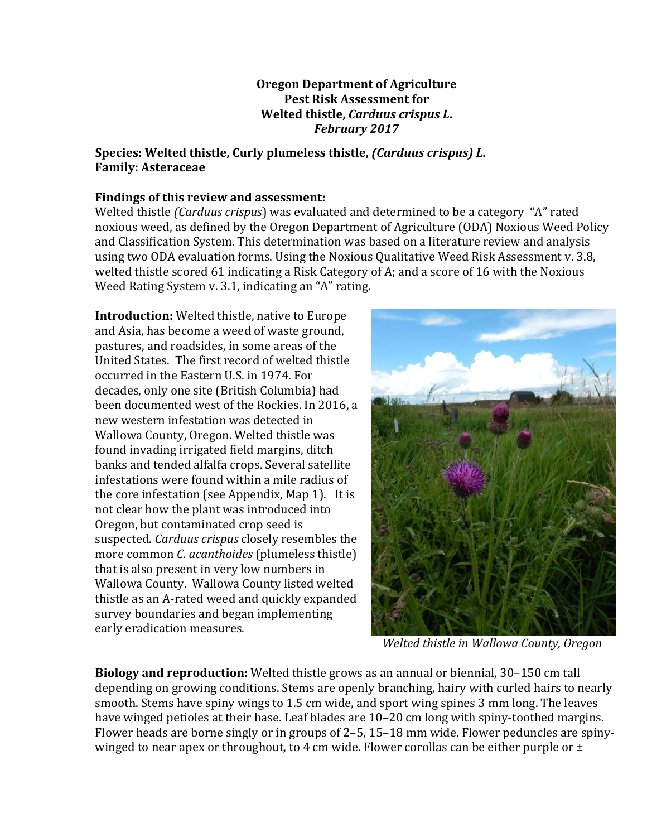#### **Oregon Department of Agriculture Pest Risk Assessment for Welted thistle,** *Carduus crispus L***.** *February 2017*

#### **Species:** Welted thistle, Curly plumeless thistle, *(Carduus crispus)* L. **Family: Asteraceae**

## Findings of this review and assessment:

Welted thistle *(Carduus crispus*) was evaluated and determined to be a category "A" rated noxious weed, as defined by the Oregon Department of Agriculture (ODA) Noxious Weed Policy and Classification System. This determination was based on a literature review and analysis using two ODA evaluation forms. Using the Noxious Qualitative Weed Risk Assessment v. 3.8, welted thistle scored  $61$  indicating a Risk Category of A; and a score of 16 with the Noxious Weed Rating System v. 3.1, indicating an "A" rating.

**Introduction:** Welted thistle, native to Europe and Asia, has become a weed of waste ground, pastures, and roadsides, in some areas of the United States. The first record of welted thistle occurred in the Eastern U.S. in 1974. For decades, only one site (British Columbia) had been documented west of the Rockies. In 2016, a new western infestation was detected in Wallowa County, Oregon. Welted thistle was found invading irrigated field margins, ditch banks and tended alfalfa crops. Several satellite infestations were found within a mile radius of the core infestation (see Appendix, Map 1). It is not clear how the plant was introduced into Oregon, but contaminated crop seed is suspected. *Carduus crispus* closely resembles the more common *C. acanthoides* (plumeless thistle) that is also present in very low numbers in Wallowa County. Wallowa County listed welted thistle as an A-rated weed and quickly expanded survey boundaries and began implementing early eradication measures.



Welted thistle in Wallowa County, Oregon

**Biology and reproduction:** Welted thistle grows as an annual or biennial, 30–150 cm tall depending on growing conditions. Stems are openly branching, hairy with curled hairs to nearly smooth. Stems have spiny wings to 1.5 cm wide, and sport wing spines 3 mm long. The leaves have winged petioles at their base. Leaf blades are 10–20 cm long with spiny-toothed margins. Flower heads are borne singly or in groups of  $2-5$ , 15–18 mm wide. Flower peduncles are spinywinged to near apex or throughout, to 4 cm wide. Flower corollas can be either purple or  $\pm$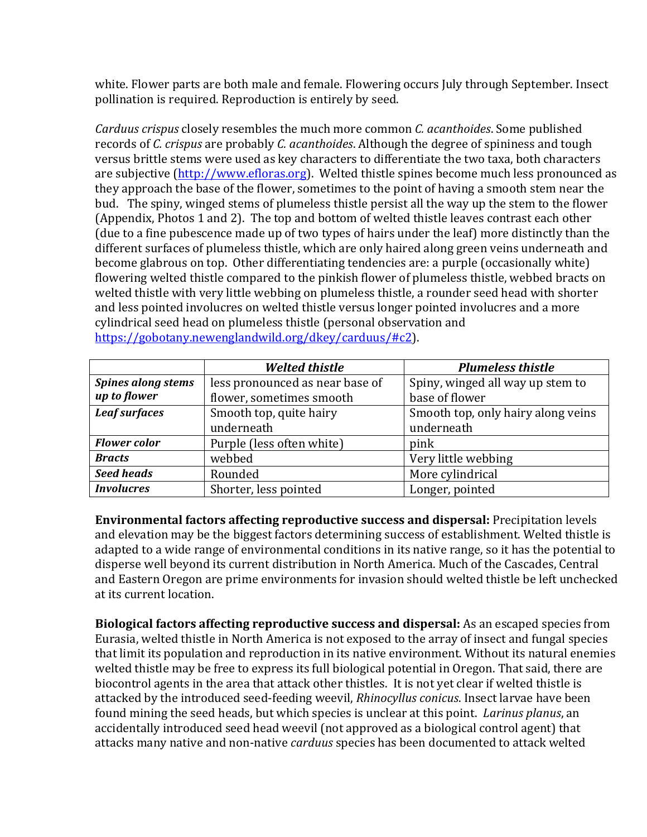white. Flower parts are both male and female. Flowering occurs July through September. Insect pollination is required. Reproduction is entirely by seed.

*Carduus crispus* closely resembles the much more common *C. acanthoides*. Some published records of *C. crispus* are probably *C. acanthoides*. Although the degree of spininess and tough versus brittle stems were used as key characters to differentiate the two taxa, both characters are subjective (http://www.efloras.org). Welted thistle spines become much less pronounced as they approach the base of the flower, sometimes to the point of having a smooth stem near the bud. The spiny, winged stems of plumeless thistle persist all the way up the stem to the flower (Appendix, Photos 1 and 2). The top and bottom of welted thistle leaves contrast each other (due to a fine pubescence made up of two types of hairs under the leaf) more distinctly than the different surfaces of plumeless thistle, which are only haired along green veins underneath and become glabrous on top. Other differentiating tendencies are: a purple (occasionally white) flowering welted thistle compared to the pinkish flower of plumeless thistle, webbed bracts on welted thistle with very little webbing on plumeless thistle, a rounder seed head with shorter and less pointed involucres on welted thistle versus longer pointed involucres and a more cylindrical seed head on plumeless thistle (personal observation and https://gobotany.newenglandwild.org/dkey/carduus/#c2). 

|                           | <b>Welted thistle</b>           | <b>Plumeless thistle</b>           |
|---------------------------|---------------------------------|------------------------------------|
| <b>Spines along stems</b> | less pronounced as near base of | Spiny, winged all way up stem to   |
| up to flower              | flower, sometimes smooth        | base of flower                     |
| <b>Leaf surfaces</b>      | Smooth top, quite hairy         | Smooth top, only hairy along veins |
|                           | underneath                      | underneath                         |
| <b>Flower</b> color       | Purple (less often white)       | pink                               |
| <b>Bracts</b>             | webbed                          | Very little webbing                |
| <b>Seed heads</b>         | Rounded                         | More cylindrical                   |
| <b>Involucres</b>         | Shorter, less pointed           | Longer, pointed                    |

**Environmental factors affecting reproductive success and dispersal:** Precipitation levels and elevation may be the biggest factors determining success of establishment. Welted thistle is adapted to a wide range of environmental conditions in its native range, so it has the potential to disperse well beyond its current distribution in North America. Much of the Cascades, Central and Eastern Oregon are prime environments for invasion should welted thistle be left unchecked at its current location.

**Biological factors affecting reproductive success and dispersal:** As an escaped species from Eurasia, welted thistle in North America is not exposed to the array of insect and fungal species that limit its population and reproduction in its native environment. Without its natural enemies welted thistle may be free to express its full biological potential in Oregon. That said, there are biocontrol agents in the area that attack other thistles. It is not yet clear if welted thistle is attacked by the introduced seed-feeding weevil, *Rhinocyllus conicus*. Insect larvae have been found mining the seed heads, but which species is unclear at this point. *Larinus planus*, an accidentally introduced seed head weevil (not approved as a biological control agent) that attacks many native and non-native *carduus* species has been documented to attack welted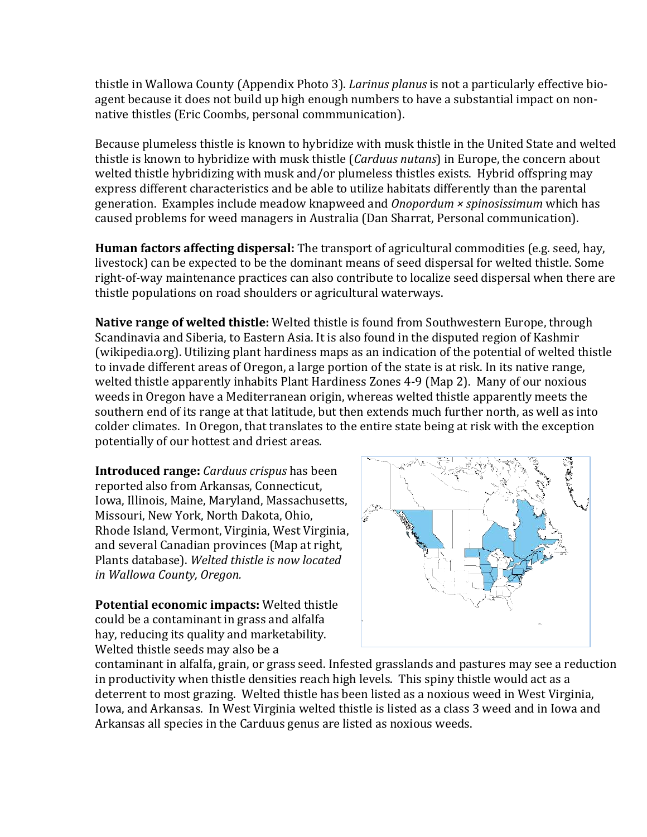thistle in Wallowa County (Appendix Photo 3). *Larinus planus* is not a particularly effective bioagent because it does not build up high enough numbers to have a substantial impact on nonnative thistles (Eric Coombs, personal commmunication).

Because plumeless thistle is known to hybridize with musk thistle in the United State and welted thistle is known to hybridize with musk thistle *(Carduus nutans)* in Europe, the concern about welted thistle hybridizing with musk and/or plumeless thistles exists. Hybrid offspring may express different characteristics and be able to utilize habitats differently than the parental generation. Examples include meadow knapweed and *Onopordum × spinosissimum* which has caused problems for weed managers in Australia (Dan Sharrat, Personal communication).

**Human factors affecting dispersal:** The transport of agricultural commodities (e.g. seed, hay, livestock) can be expected to be the dominant means of seed dispersal for welted thistle. Some right-of-way maintenance practices can also contribute to localize seed dispersal when there are thistle populations on road shoulders or agricultural waterways.

**Native range of welted thistle:** Welted thistle is found from Southwestern Europe, through Scandinavia and Siberia, to Eastern Asia. It is also found in the disputed region of Kashmir (wikipedia.org). Utilizing plant hardiness maps as an indication of the potential of welted thistle to invade different areas of Oregon, a large portion of the state is at risk. In its native range, welted thistle apparently inhabits Plant Hardiness Zones  $4-9$  (Map 2). Many of our noxious weeds in Oregon have a Mediterranean origin, whereas welted thistle apparently meets the southern end of its range at that latitude, but then extends much further north, as well as into colder climates. In Oregon, that translates to the entire state being at risk with the exception potentially of our hottest and driest areas.

**Introduced range:** *Carduus crispus* has been reported also from Arkansas, Connecticut, Iowa, Illinois, Maine, Maryland, Massachusetts, Missouri, New York, North Dakota, Ohio, Rhode Island, Vermont, Virginia, West Virginia, and several Canadian provinces (Map at right, Plants database). Welted thistle is now located *in Wallowa County, Oregon.*

**Potential economic impacts:** Welted thistle could be a contaminant in grass and alfalfa hay, reducing its quality and marketability. Welted thistle seeds may also be a



contaminant in alfalfa, grain, or grass seed. Infested grasslands and pastures may see a reduction in productivity when thistle densities reach high levels. This spiny thistle would act as a deterrent to most grazing. Welted thistle has been listed as a noxious weed in West Virginia, Iowa, and Arkansas. In West Virginia welted thistle is listed as a class 3 weed and in Iowa and Arkansas all species in the Carduus genus are listed as noxious weeds.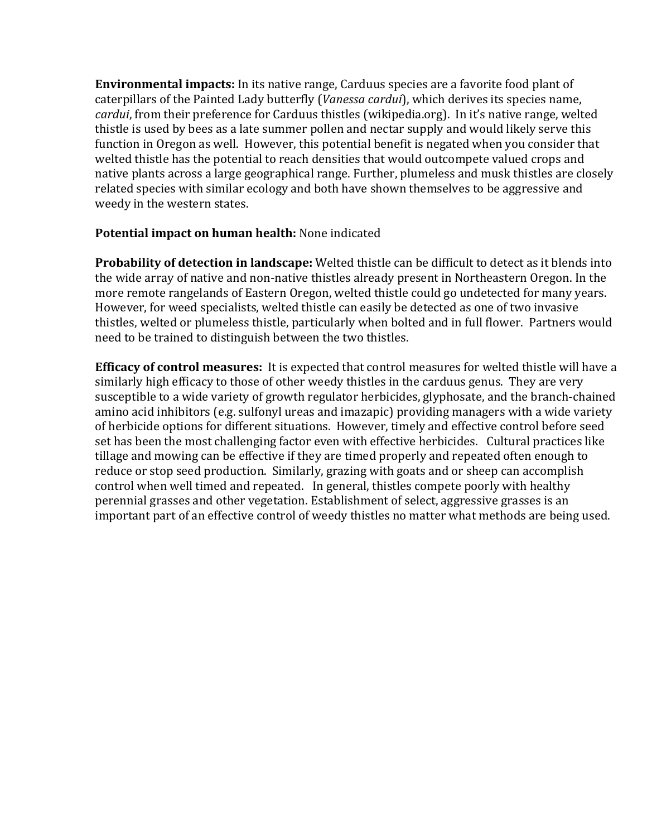**Environmental impacts:** In its native range, Carduus species are a favorite food plant of caterpillars of the Painted Lady butterfly (*Vanessa cardui*), which derives its species name, *cardui*, from their preference for Carduus thistles (wikipedia.org). In it's native range, welted thistle is used by bees as a late summer pollen and nectar supply and would likely serve this function in Oregon as well. However, this potential benefit is negated when you consider that welted thistle has the potential to reach densities that would outcompete valued crops and native plants across a large geographical range. Further, plumeless and musk thistles are closely related species with similar ecology and both have shown themselves to be aggressive and weedy in the western states.

#### **Potential impact on human health:** None indicated

**Probability of detection in landscape:** Welted thistle can be difficult to detect as it blends into the wide array of native and non-native thistles already present in Northeastern Oregon. In the more remote rangelands of Eastern Oregon, welted thistle could go undetected for many years. However, for weed specialists, welted thistle can easily be detected as one of two invasive thistles, welted or plumeless thistle, particularly when bolted and in full flower. Partners would need to be trained to distinguish between the two thistles.

**Efficacy of control measures:** It is expected that control measures for welted thistle will have a similarly high efficacy to those of other weedy thistles in the carduus genus. They are very susceptible to a wide variety of growth regulator herbicides, glyphosate, and the branch-chained amino acid inhibitors (e.g. sulfonyl ureas and imazapic) providing managers with a wide variety of herbicide options for different situations. However, timely and effective control before seed set has been the most challenging factor even with effective herbicides. Cultural practices like tillage and mowing can be effective if they are timed properly and repeated often enough to reduce or stop seed production. Similarly, grazing with goats and or sheep can accomplish control when well timed and repeated. In general, thistles compete poorly with healthy perennial grasses and other vegetation. Establishment of select, aggressive grasses is an important part of an effective control of weedy thistles no matter what methods are being used.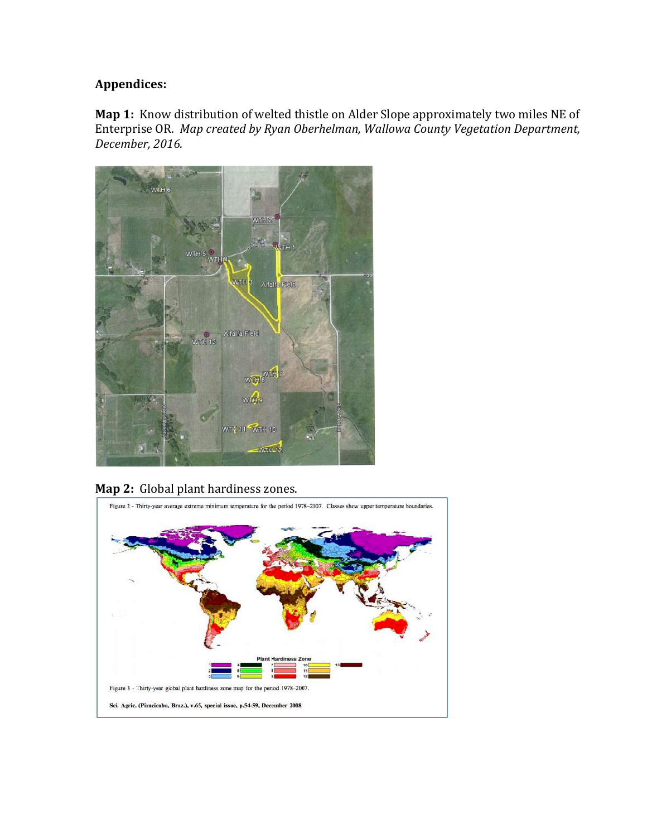# **Appendices:**

**Map 1:** Know distribution of welted thistle on Alder Slope approximately two miles NE of Enterprise OR. Map created by Ryan Oberhelman, Wallowa County Vegetation Department, *December, 2016.* 



# Map 2: Global plant hardiness zones.

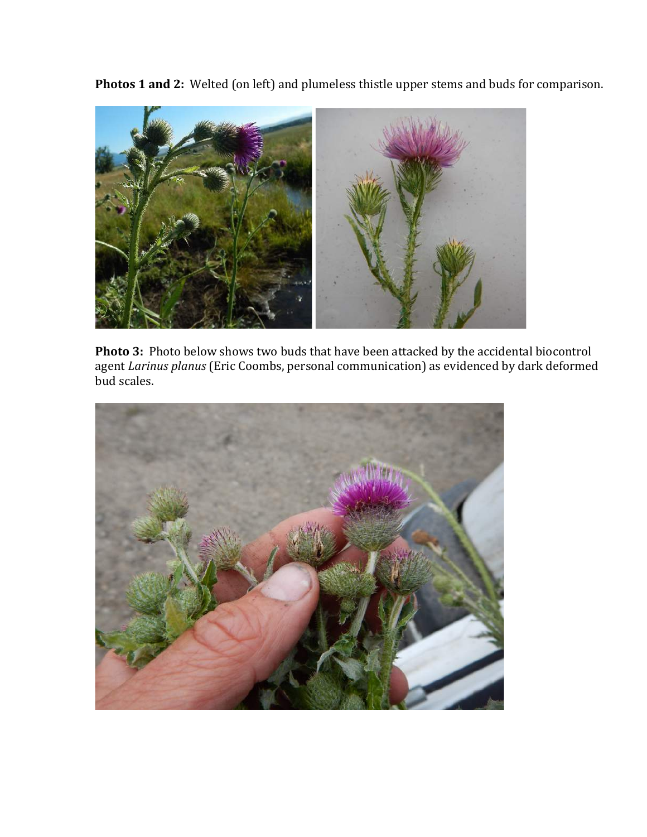**Photos 1 and 2:** Welted (on left) and plumeless thistle upper stems and buds for comparison.



**Photo 3:** Photo below shows two buds that have been attacked by the accidental biocontrol agent *Larinus planus* (Eric Coombs, personal communication) as evidenced by dark deformed bud scales.

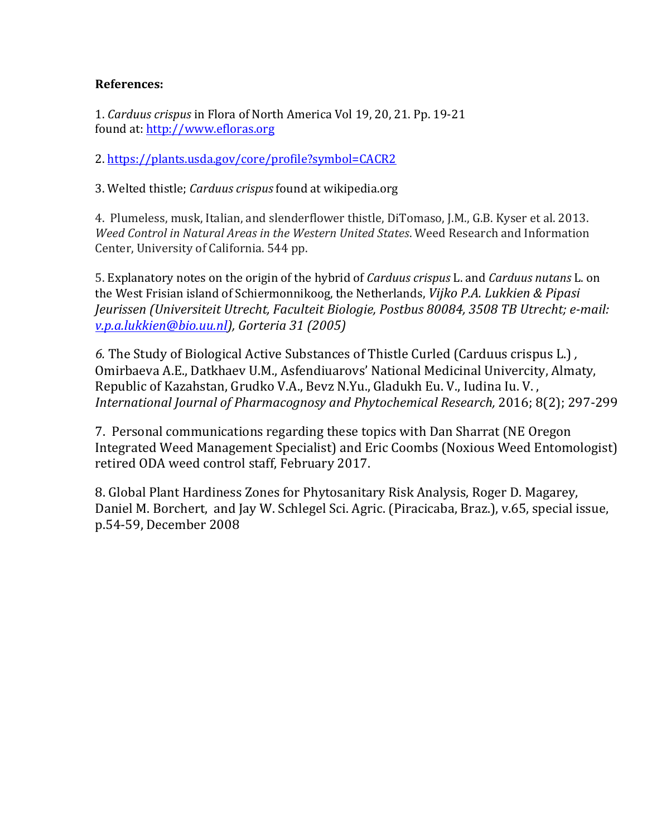## **References:**

1. *Carduus crispus* in Flora of North America Vol 19, 20, 21. Pp. 19-21 found at: http://www.efloras.org

2. https://plants.usda.gov/core/profile?symbol=CACR2

3. Welted thistle; *Carduus crispus* found at wikipedia.org

4. Plumeless, musk, Italian, and slenderflower thistle, DiTomaso, J.M., G.B. Kyser et al. 2013. *Weed Control in Natural Areas in the Western United States.* Weed Research and Information Center, University of California. 544 pp.

5. Explanatory notes on the origin of the hybrid of *Carduus crispus* L. and *Carduus nutans* L. on the West Frisian island of Schiermonnikoog, the Netherlands, *Vijko P.A. Lukkien & Pipasi Jeurissen (Universiteit Utrecht, Faculteit Biologie, Postbus 80084, 3508 TB Utrecht; e-mail: v.p.a.lukkien@bio.uu.nl), Gorteria 31 (2005)* 

6. The Study of Biological Active Substances of Thistle Curled (Carduus crispus L.), Omirbaeva A.E., Datkhaev U.M., Asfendiuarovs' National Medicinal Univercity, Almaty, Republic of Kazahstan, Grudko V.A., Bevz N.Yu., Gladukh Eu. V., Iudina Iu. V., International Journal of Pharmacognosy and Phytochemical Research, 2016; 8(2); 297-299

7. Personal communications regarding these topics with Dan Sharrat (NE Oregon Integrated Weed Management Specialist) and Eric Coombs (Noxious Weed Entomologist) retired ODA weed control staff, February 2017.

8. Global Plant Hardiness Zones for Phytosanitary Risk Analysis, Roger D. Magarey, Daniel M. Borchert, and Jay W. Schlegel Sci. Agric. (Piracicaba, Braz.), v.65, special issue, p.54-59, December 2008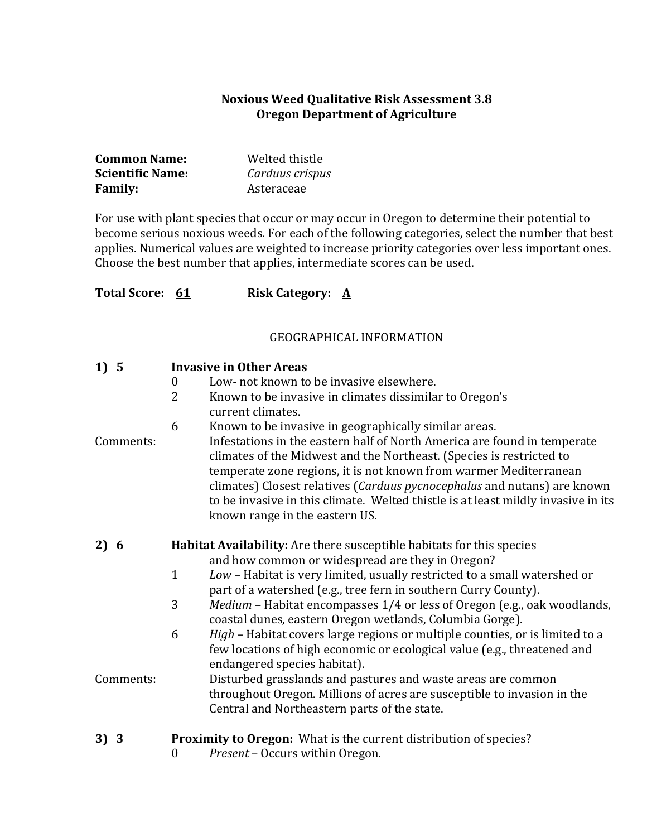#### **Noxious Weed Qualitative Risk Assessment 3.8 Oregon Department of Agriculture**

| <b>Common Name:</b>     | Welted thistle  |
|-------------------------|-----------------|
| <b>Scientific Name:</b> | Carduus crispus |
| <b>Family:</b>          | Asteraceae      |

For use with plant species that occur or may occur in Oregon to determine their potential to become serious noxious weeds. For each of the following categories, select the number that best applies. Numerical values are weighted to increase priority categories over less important ones. Choose the best number that applies, intermediate scores can be used.

| Total Score: 61 |                  | <b>Risk Category: A</b>                                                                                                                                                                                                                                                                                                                                                                                                  |
|-----------------|------------------|--------------------------------------------------------------------------------------------------------------------------------------------------------------------------------------------------------------------------------------------------------------------------------------------------------------------------------------------------------------------------------------------------------------------------|
|                 |                  | <b>GEOGRAPHICAL INFORMATION</b>                                                                                                                                                                                                                                                                                                                                                                                          |
| 1) 5            |                  | <b>Invasive in Other Areas</b>                                                                                                                                                                                                                                                                                                                                                                                           |
|                 | $\boldsymbol{0}$ | Low- not known to be invasive elsewhere.                                                                                                                                                                                                                                                                                                                                                                                 |
|                 | 2                | Known to be invasive in climates dissimilar to Oregon's<br>current climates.                                                                                                                                                                                                                                                                                                                                             |
|                 | 6                | Known to be invasive in geographically similar areas.                                                                                                                                                                                                                                                                                                                                                                    |
| Comments:       |                  | Infestations in the eastern half of North America are found in temperate<br>climates of the Midwest and the Northeast. (Species is restricted to<br>temperate zone regions, it is not known from warmer Mediterranean<br>climates) Closest relatives (Carduus pycnocephalus and nutans) are known<br>to be invasive in this climate. Welted thistle is at least mildly invasive in its<br>known range in the eastern US. |
| 2) 6            |                  | Habitat Availability: Are there susceptible habitats for this species                                                                                                                                                                                                                                                                                                                                                    |
|                 |                  | and how common or widespread are they in Oregon?                                                                                                                                                                                                                                                                                                                                                                         |
|                 | $\mathbf{1}$     | Low - Habitat is very limited, usually restricted to a small watershed or<br>part of a watershed (e.g., tree fern in southern Curry County).                                                                                                                                                                                                                                                                             |
|                 | 3                | <i>Medium</i> – Habitat encompasses 1/4 or less of Oregon (e.g., oak woodlands,<br>coastal dunes, eastern Oregon wetlands, Columbia Gorge).                                                                                                                                                                                                                                                                              |
|                 | 6                | <i>High</i> – Habitat covers large regions or multiple counties or is limited to a                                                                                                                                                                                                                                                                                                                                       |

6 *High* – Habitat covers large regions or multiple counties, or is limited to a few locations of high economic or ecological value (e.g., threatened and endangered species habitat).

## Comments: Disturbed grasslands and pastures and waste areas are common throughout Oregon. Millions of acres are susceptible to invasion in the Central and Northeastern parts of the state.

- **3) 3 Proximity to Oregon:** What is the current distribution of species?
	- 0 Present Occurs within Oregon.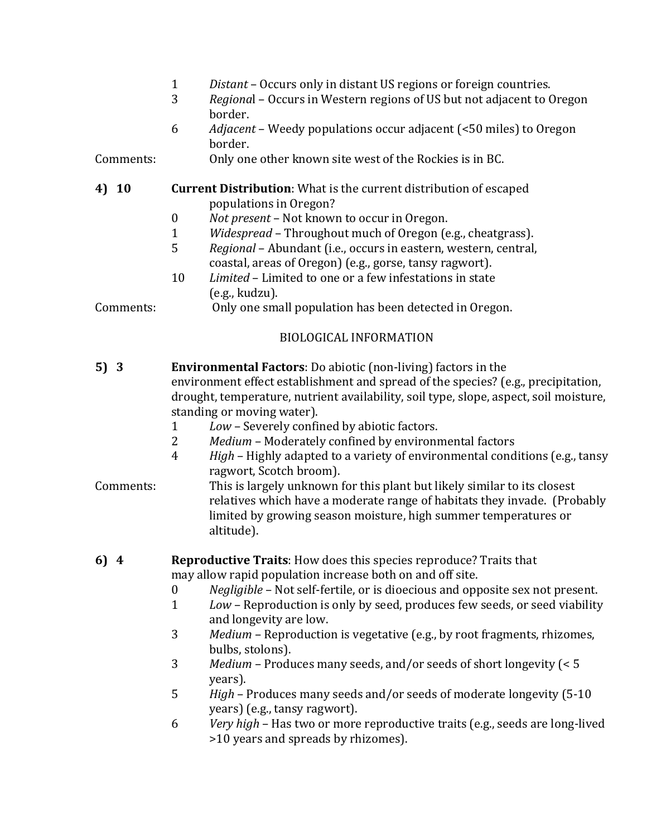- 1 *Distant* Occurs only in distant US regions or foreign countries.
- 3 *Regional* Occurs in Western regions of US but not adjacent to Oregon border.
- 6 *Adjacent* Weedy populations occur adjacent (<50 miles) to Oregon border.
- Comments: Comments: Comme other known site west of the Rockies is in BC.

#### **4) 10 Current Distribution**: What is the current distribution of escaped populations in Oregon?

- 0 *Not present* Not known to occur in Oregon.
- 1 *Widespread* Throughout much of Oregon (e.g., cheatgrass).
- 5 Regional Abundant (i.e., occurs in eastern, western, central, coastal, areas of Oregon) (e.g., gorse, tansy ragwort).
- 10 *Limited* Limited to one or a few infestations in state  $(e.g., kudzu).$

Comments: 0nly one small population has been detected in Oregon.

## BIOLOGICAL INFORMATION

- **5) 3 Environmental Factors**: Do abiotic (non-living) factors in the environment effect establishment and spread of the species? (e.g., precipitation, drought, temperature, nutrient availability, soil type, slope, aspect, soil moisture, standing or moving water).
	- 1 *Low* Severely confined by abiotic factors.
	- 2 Medium Moderately confined by environmental factors
	- 4 *High* Highly adapted to a variety of environmental conditions (e.g., tansy ragwort, Scotch broom).
- Comments: This is largely unknown for this plant but likely similar to its closest relatives which have a moderate range of habitats they invade. (Probably limited by growing season moisture, high summer temperatures or altitude).

#### **6)** 4 **Reproductive Traits**: How does this species reproduce? Traits that may allow rapid population increase both on and off site.

- 0 *Negligible* Not self-fertile, or is dioecious and opposite sex not present.
- 1 *Low* Reproduction is only by seed, produces few seeds, or seed viability and longevity are low.
- 3 Medium Reproduction is vegetative (e.g., by root fragments, rhizomes, bulbs, stolons).
- 3 Medium Produces many seeds, and/or seeds of short longevity  $\leq 5$ years).
- 5 *High* Produces many seeds and/or seeds of moderate longevity (5-10 years) (e.g., tansy ragwort).
- 6 *Very high* Has two or more reproductive traits (e.g., seeds are long-lived >10 years and spreads by rhizomes).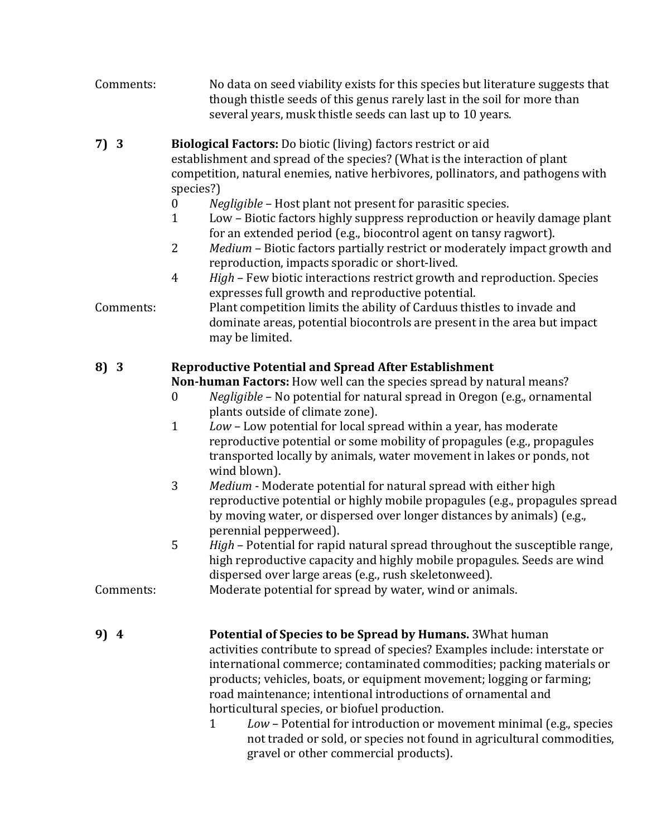- Comments: No data on seed viability exists for this species but literature suggests that though thistle seeds of this genus rarely last in the soil for more than several years, musk thistle seeds can last up to 10 years.
- **7) 3 Biological Factors:** Do biotic (living) factors restrict or aid establishment and spread of the species? (What is the interaction of plant competition, natural enemies, native herbivores, pollinators, and pathogens with species?)
	- 0 *Negligible* Host plant not present for parasitic species.
	- 1 Low Biotic factors highly suppress reproduction or heavily damage plant for an extended period (e.g., biocontrol agent on tansy ragwort).
	- 2 Medium Biotic factors partially restrict or moderately impact growth and reproduction, impacts sporadic or short-lived.
	- 4 *High* Few biotic interactions restrict growth and reproduction. Species expresses full growth and reproductive potential.

Comments: Plant competition limits the ability of Carduus thistles to invade and dominate areas, potential biocontrols are present in the area but impact may be limited.

## **8) 3 Reproductive Potential and Spread After Establishment**

**Non-human Factors:** How well can the species spread by natural means?

- 0 *Negligible* No potential for natural spread in Oregon (e.g., ornamental plants outside of climate zone).
- 1 *Low* Low potential for local spread within a year, has moderate reproductive potential or some mobility of propagules (e.g., propagules transported locally by animals, water movement in lakes or ponds, not wind blown).
- 3 Medium Moderate potential for natural spread with either high reproductive potential or highly mobile propagules (e.g., propagules spread by moving water, or dispersed over longer distances by animals) (e.g., perennial pepperweed).
- 5 *High* Potential for rapid natural spread throughout the susceptible range, high reproductive capacity and highly mobile propagules. Seeds are wind dispersed over large areas (e.g., rush skeletonweed).

Comments: Moderate potential for spread by water, wind or animals.

- **9)** 4 **Potential of Species to be Spread by Humans.** 3What human activities contribute to spread of species? Examples include: interstate or international commerce; contaminated commodities; packing materials or products; vehicles, boats, or equipment movement; logging or farming; road maintenance; intentional introductions of ornamental and horticultural species, or biofuel production.
	- 1 *Low* Potential for introduction or movement minimal (e.g., species not traded or sold, or species not found in agricultural commodities, gravel or other commercial products).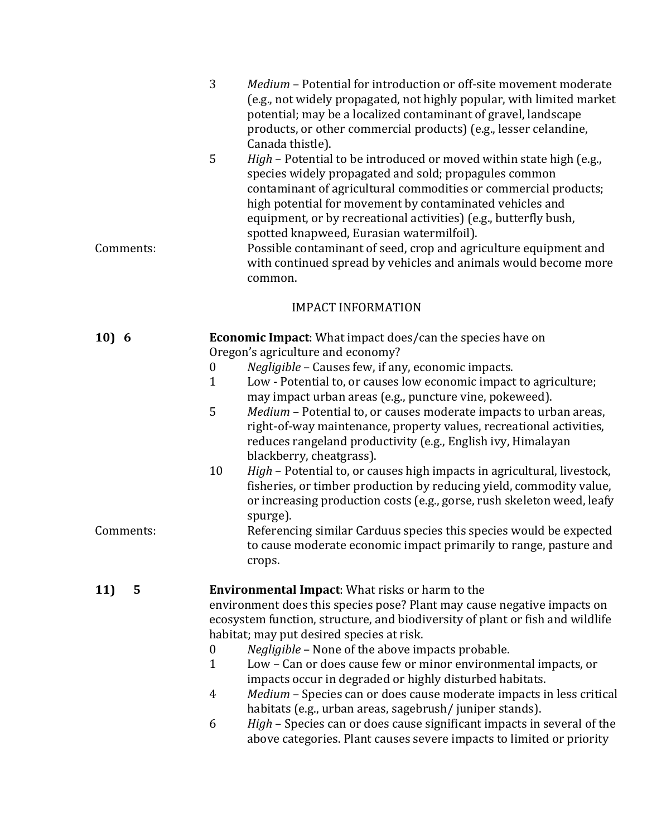|                    | 3<br>Medium - Potential for introduction or off-site movement moderate<br>(e.g., not widely propagated, not highly popular, with limited market<br>potential; may be a localized contaminant of gravel, landscape<br>products, or other commercial products) (e.g., lesser celandine,<br>Canada thistle).                                                                                                                                                                                                                                                                                                                                                                                                                                                                                                                                                                                                                                                                       |
|--------------------|---------------------------------------------------------------------------------------------------------------------------------------------------------------------------------------------------------------------------------------------------------------------------------------------------------------------------------------------------------------------------------------------------------------------------------------------------------------------------------------------------------------------------------------------------------------------------------------------------------------------------------------------------------------------------------------------------------------------------------------------------------------------------------------------------------------------------------------------------------------------------------------------------------------------------------------------------------------------------------|
| Comments:          | 5<br>High - Potential to be introduced or moved within state high (e.g.,<br>species widely propagated and sold; propagules common<br>contaminant of agricultural commodities or commercial products;<br>high potential for movement by contaminated vehicles and<br>equipment, or by recreational activities) (e.g., butterfly bush,<br>spotted knapweed, Eurasian watermilfoil).<br>Possible contaminant of seed, crop and agriculture equipment and<br>with continued spread by vehicles and animals would become more<br>common.                                                                                                                                                                                                                                                                                                                                                                                                                                             |
|                    | <b>IMPACT INFORMATION</b>                                                                                                                                                                                                                                                                                                                                                                                                                                                                                                                                                                                                                                                                                                                                                                                                                                                                                                                                                       |
| 10) 6<br>Comments: | <b>Economic Impact:</b> What impact does/can the species have on<br>Oregon's agriculture and economy?<br>Negligible - Causes few, if any, economic impacts.<br>$\boldsymbol{0}$<br>$\mathbf{1}$<br>Low - Potential to, or causes low economic impact to agriculture;<br>may impact urban areas (e.g., puncture vine, pokeweed).<br>5<br>Medium - Potential to, or causes moderate impacts to urban areas,<br>right-of-way maintenance, property values, recreational activities,<br>reduces rangeland productivity (e.g., English ivy, Himalayan<br>blackberry, cheatgrass).<br>10<br>High - Potential to, or causes high impacts in agricultural, livestock,<br>fisheries, or timber production by reducing yield, commodity value,<br>or increasing production costs (e.g., gorse, rush skeleton weed, leafy<br>spurge).<br>Referencing similar Carduus species this species would be expected<br>to cause moderate economic impact primarily to range, pasture and<br>crops. |
| 5<br>11)           | <b>Environmental Impact:</b> What risks or harm to the<br>environment does this species pose? Plant may cause negative impacts on<br>ecosystem function, structure, and biodiversity of plant or fish and wildlife<br>habitat; may put desired species at risk.<br>Negligible - None of the above impacts probable.<br>0<br>Low - Can or does cause few or minor environmental impacts, or<br>1<br>impacts occur in degraded or highly disturbed habitats.<br>Medium - Species can or does cause moderate impacts in less critical<br>4<br>habitats (e.g., urban areas, sagebrush/juniper stands).<br>High - Species can or does cause significant impacts in several of the<br>6<br>above categories. Plant causes severe impacts to limited or priority                                                                                                                                                                                                                       |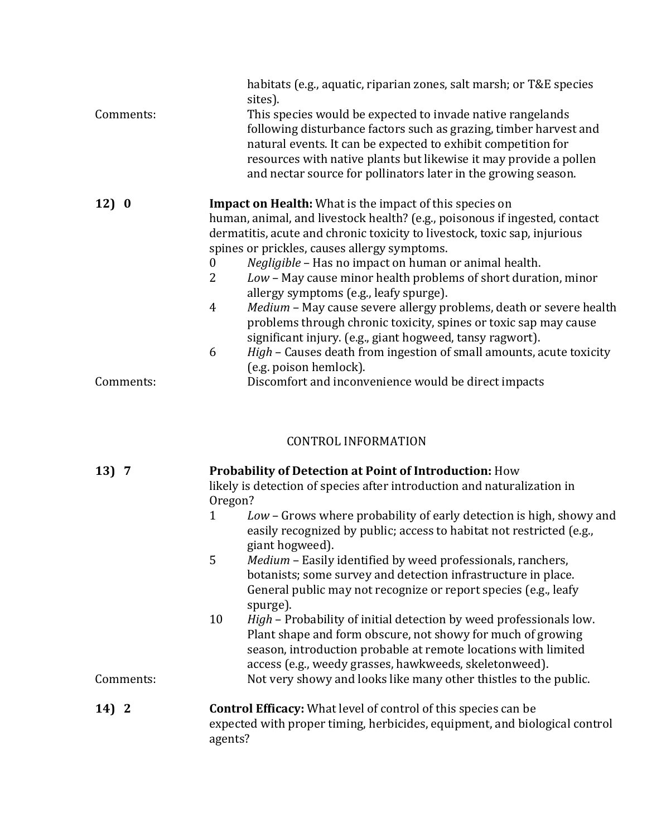| Comments: | habitats (e.g., aquatic, riparian zones, salt marsh; or T&E species<br>sites).<br>This species would be expected to invade native rangelands<br>following disturbance factors such as grazing, timber harvest and<br>natural events. It can be expected to exhibit competition for<br>resources with native plants but likewise it may provide a pollen<br>and nectar source for pollinators later in the growing season.                                             |  |  |
|-----------|-----------------------------------------------------------------------------------------------------------------------------------------------------------------------------------------------------------------------------------------------------------------------------------------------------------------------------------------------------------------------------------------------------------------------------------------------------------------------|--|--|
| 12)0      | <b>Impact on Health:</b> What is the impact of this species on<br>human, animal, and livestock health? (e.g., poisonous if ingested, contact<br>dermatitis, acute and chronic toxicity to livestock, toxic sap, injurious<br>spines or prickles, causes allergy symptoms.<br>Negligible - Has no impact on human or animal health.<br>0<br>$\overline{2}$<br>Low - May cause minor health problems of short duration, minor<br>allergy symptoms (e.g., leafy spurge). |  |  |
|           | Medium - May cause severe allergy problems, death or severe health<br>4<br>problems through chronic toxicity, spines or toxic sap may cause<br>significant injury. (e.g., giant hogweed, tansy ragwort).                                                                                                                                                                                                                                                              |  |  |
| Comments: | High - Causes death from ingestion of small amounts, acute toxicity<br>6<br>(e.g. poison hemlock).<br>Discomfort and inconvenience would be direct impacts                                                                                                                                                                                                                                                                                                            |  |  |

# CONTROL INFORMATION

| 13)7      | <b>Probability of Detection at Point of Introduction: How</b><br>likely is detection of species after introduction and naturalization in<br>Oregon?                                                                                                                                                                                            |  |  |
|-----------|------------------------------------------------------------------------------------------------------------------------------------------------------------------------------------------------------------------------------------------------------------------------------------------------------------------------------------------------|--|--|
|           | Low - Grows where probability of early detection is high, showy and<br>1<br>easily recognized by public; access to habitat not restricted (e.g.,<br>giant hogweed).                                                                                                                                                                            |  |  |
|           | 5<br>Medium - Easily identified by weed professionals, ranchers,<br>botanists; some survey and detection infrastructure in place.<br>General public may not recognize or report species (e.g., leafy<br>spurge).                                                                                                                               |  |  |
| Comments: | 10<br><i>High</i> – Probability of initial detection by weed professionals low.<br>Plant shape and form obscure, not showy for much of growing<br>season, introduction probable at remote locations with limited<br>access (e.g., weedy grasses, hawkweeds, skeletonweed).<br>Not very showy and looks like many other thistles to the public. |  |  |
| 14) 2     | <b>Control Efficacy:</b> What level of control of this species can be<br>expected with proper timing, herbicides, equipment, and biological control<br>agents?                                                                                                                                                                                 |  |  |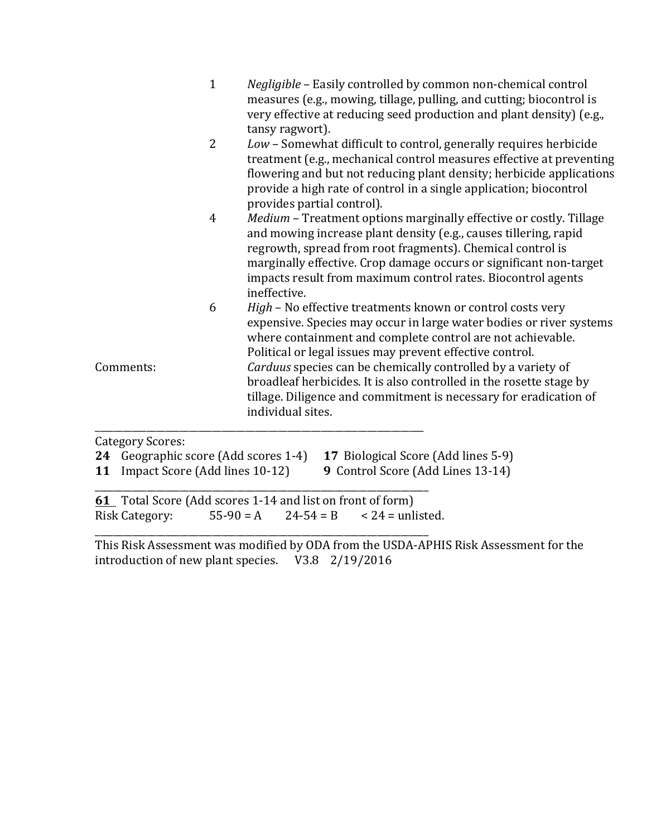|                  | $\mathbf{1}$   | <i>Negligible</i> – Easily controlled by common non-chemical control<br>measures (e.g., mowing, tillage, pulling, and cutting; biocontrol is<br>very effective at reducing seed production and plant density) (e.g.,<br>tansy ragwort).                                                                                                                    |
|------------------|----------------|------------------------------------------------------------------------------------------------------------------------------------------------------------------------------------------------------------------------------------------------------------------------------------------------------------------------------------------------------------|
|                  | 2              | Low - Somewhat difficult to control, generally requires herbicide<br>treatment (e.g., mechanical control measures effective at preventing<br>flowering and but not reducing plant density; herbicide applications<br>provide a high rate of control in a single application; biocontrol<br>provides partial control).                                      |
|                  | $\overline{4}$ | Medium - Treatment options marginally effective or costly. Tillage<br>and mowing increase plant density (e.g., causes tillering, rapid<br>regrowth, spread from root fragments). Chemical control is<br>marginally effective. Crop damage occurs or significant non-target<br>impacts result from maximum control rates. Biocontrol agents<br>ineffective. |
|                  | 6              | High - No effective treatments known or control costs very<br>expensive. Species may occur in large water bodies or river systems<br>where containment and complete control are not achievable.<br>Political or legal issues may prevent effective control.                                                                                                |
| Comments:        |                | Carduus species can be chemically controlled by a variety of<br>broadleaf herbicides. It is also controlled in the rosette stage by<br>tillage. Diligence and commitment is necessary for eradication of<br>individual sites.                                                                                                                              |
| Category Scores. |                |                                                                                                                                                                                                                                                                                                                                                            |

Category Scores:

|  |  |  | 24 Geographic score (Add scores 1-4) 17 Biological Score (Add lines 5-9) |  |
|--|--|--|--------------------------------------------------------------------------|--|
|--|--|--|--------------------------------------------------------------------------|--|

**11** Impact Score (Add lines 10-12) **9** Control Score (Add Lines 13-14) \_\_\_\_\_\_\_\_\_\_\_\_\_\_\_\_\_\_\_\_\_\_\_\_\_\_\_\_\_\_\_\_\_\_\_\_\_\_\_\_\_\_\_\_\_\_\_\_\_\_\_\_\_\_\_\_\_\_\_\_\_\_\_\_\_\_\_\_\_\_\_

**61** Total Score (Add scores 1-14 and list on front of form) Risk Category:  $55-90 = A$   $24-54 = B$   $< 24 =$  unlisted.

\_\_\_\_\_\_\_\_\_\_\_\_\_\_\_\_\_\_\_\_\_\_\_\_\_\_\_\_\_\_\_\_\_\_\_\_\_\_\_\_\_\_\_\_\_\_\_\_\_\_\_\_\_\_\_\_\_\_\_\_\_\_\_\_\_\_\_\_\_\_\_

This Risk Assessment was modified by ODA from the USDA-APHIS Risk Assessment for the introduction of new plant species.  $\quad$  V3.8  $\quad$  2/19/2016